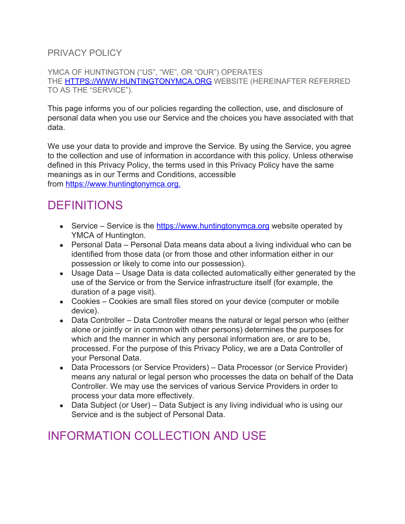### PRIVACY POLICY

#### YMCA OF HUNTINGTON ("US", "WE", OR "OUR") OPERATES THE [HTTPS://WWW.HUNTINGTONYMCA.ORG](https://www.huntingtonymca.org/) WEBSITE (HEREINAFTER REFERRED TO AS THE "SERVICE").

This page informs you of our policies regarding the collection, use, and disclosure of personal data when you use our Service and the choices you have associated with that data.

We use your data to provide and improve the Service. By using the Service, you agree to the collection and use of information in accordance with this policy. Unless otherwise defined in this Privacy Policy, the terms used in this Privacy Policy have the same meanings as in our Terms and Conditions, accessible from [https://www.huntingtonymca.org.](https://www.huntingtonymca.org./)

## DEFINITIONS

- Service Service is the [https://www.huntingtonymca.org](https://www.huntingtonymca.org/) website operated by YMCA of Huntington.
- Personal Data Personal Data means data about a living individual who can be identified from those data (or from those and other information either in our possession or likely to come into our possession).
- Usage Data Usage Data is data collected automatically either generated by the use of the Service or from the Service infrastructure itself (for example, the duration of a page visit).
- Cookies Cookies are small files stored on your device (computer or mobile device).
- Data Controller Data Controller means the natural or legal person who (either alone or jointly or in common with other persons) determines the purposes for which and the manner in which any personal information are, or are to be, processed. For the purpose of this Privacy Policy, we are a Data Controller of your Personal Data.
- Data Processors (or Service Providers) Data Processor (or Service Provider) means any natural or legal person who processes the data on behalf of the Data Controller. We may use the services of various Service Providers in order to process your data more effectively.
- Data Subject (or User) Data Subject is any living individual who is using our Service and is the subject of Personal Data.

## INFORMATION COLLECTION AND USE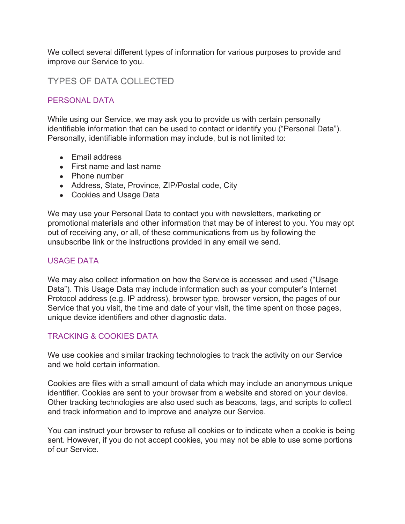We collect several different types of information for various purposes to provide and improve our Service to you.

### TYPES OF DATA COLLECTED

#### PERSONAL DATA

While using our Service, we may ask you to provide us with certain personally identifiable information that can be used to contact or identify you ("Personal Data"). Personally, identifiable information may include, but is not limited to:

- Email address
- First name and last name
- Phone number
- Address, State, Province, ZIP/Postal code, City
- Cookies and Usage Data

We may use your Personal Data to contact you with newsletters, marketing or promotional materials and other information that may be of interest to you. You may opt out of receiving any, or all, of these communications from us by following the unsubscribe link or the instructions provided in any email we send.

#### USAGE DATA

We may also collect information on how the Service is accessed and used ("Usage Data"). This Usage Data may include information such as your computer's Internet Protocol address (e.g. IP address), browser type, browser version, the pages of our Service that you visit, the time and date of your visit, the time spent on those pages, unique device identifiers and other diagnostic data.

#### TRACKING & COOKIES DATA

We use cookies and similar tracking technologies to track the activity on our Service and we hold certain information.

Cookies are files with a small amount of data which may include an anonymous unique identifier. Cookies are sent to your browser from a website and stored on your device. Other tracking technologies are also used such as beacons, tags, and scripts to collect and track information and to improve and analyze our Service.

You can instruct your browser to refuse all cookies or to indicate when a cookie is being sent. However, if you do not accept cookies, you may not be able to use some portions of our Service.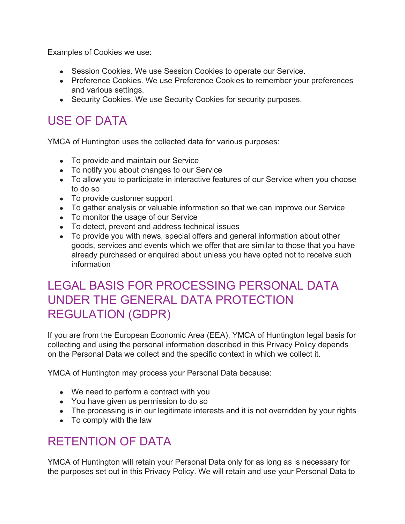Examples of Cookies we use:

- Session Cookies. We use Session Cookies to operate our Service.
- Preference Cookies. We use Preference Cookies to remember your preferences and various settings.
- Security Cookies. We use Security Cookies for security purposes.

# USE OF DATA

YMCA of Huntington uses the collected data for various purposes:

- To provide and maintain our Service
- To notify you about changes to our Service
- To allow you to participate in interactive features of our Service when you choose to do so
- To provide customer support
- To gather analysis or valuable information so that we can improve our Service
- To monitor the usage of our Service
- To detect, prevent and address technical issues
- To provide you with news, special offers and general information about other goods, services and events which we offer that are similar to those that you have already purchased or enquired about unless you have opted not to receive such information

### LEGAL BASIS FOR PROCESSING PERSONAL DATA UNDER THE GENERAL DATA PROTECTION REGULATION (GDPR)

If you are from the European Economic Area (EEA), YMCA of Huntington legal basis for collecting and using the personal information described in this Privacy Policy depends on the Personal Data we collect and the specific context in which we collect it.

YMCA of Huntington may process your Personal Data because:

- We need to perform a contract with you
- You have given us permission to do so
- The processing is in our legitimate interests and it is not overridden by your rights
- To comply with the law

### RETENTION OF DATA

YMCA of Huntington will retain your Personal Data only for as long as is necessary for the purposes set out in this Privacy Policy. We will retain and use your Personal Data to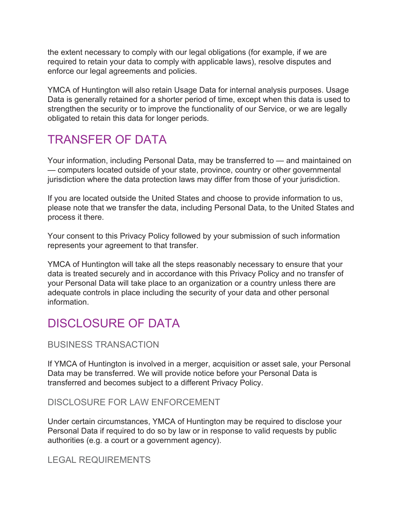the extent necessary to comply with our legal obligations (for example, if we are required to retain your data to comply with applicable laws), resolve disputes and enforce our legal agreements and policies.

YMCA of Huntington will also retain Usage Data for internal analysis purposes. Usage Data is generally retained for a shorter period of time, except when this data is used to strengthen the security or to improve the functionality of our Service, or we are legally obligated to retain this data for longer periods.

### TRANSFER OF DATA

Your information, including Personal Data, may be transferred to — and maintained on — computers located outside of your state, province, country or other governmental jurisdiction where the data protection laws may differ from those of your jurisdiction.

If you are located outside the United States and choose to provide information to us, please note that we transfer the data, including Personal Data, to the United States and process it there.

Your consent to this Privacy Policy followed by your submission of such information represents your agreement to that transfer.

YMCA of Huntington will take all the steps reasonably necessary to ensure that your data is treated securely and in accordance with this Privacy Policy and no transfer of your Personal Data will take place to an organization or a country unless there are adequate controls in place including the security of your data and other personal information.

## DISCLOSURE OF DATA

#### BUSINESS TRANSACTION

If YMCA of Huntington is involved in a merger, acquisition or asset sale, your Personal Data may be transferred. We will provide notice before your Personal Data is transferred and becomes subject to a different Privacy Policy.

#### DISCLOSURE FOR LAW ENFORCEMENT

Under certain circumstances, YMCA of Huntington may be required to disclose your Personal Data if required to do so by law or in response to valid requests by public authorities (e.g. a court or a government agency).

#### LEGAL REQUIREMENTS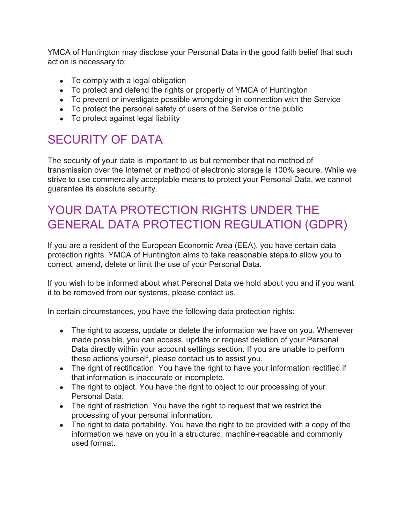YMCA of Huntington may disclose your Personal Data in the good faith belief that such action is necessary to:

- To comply with a legal obligation
- To protect and defend the rights or property of YMCA of Huntington
- To prevent or investigate possible wrongdoing in connection with the Service
- To protect the personal safety of users of the Service or the public
- To protect against legal liability

# SECURITY OF DATA

The security of your data is important to us but remember that no method of transmission over the Internet or method of electronic storage is 100% secure. While we strive to use commercially acceptable means to protect your Personal Data, we cannot guarantee its absolute security.

## YOUR DATA PROTECTION RIGHTS UNDER THE GENERAL DATA PROTECTION REGULATION (GDPR)

If you are a resident of the European Economic Area (EEA), you have certain data protection rights. YMCA of Huntington aims to take reasonable steps to allow you to correct, amend, delete or limit the use of your Personal Data.

If you wish to be informed about what Personal Data we hold about you and if you want it to be removed from our systems, please contact us.

In certain circumstances, you have the following data protection rights:

- The right to access, update or delete the information we have on you. Whenever made possible, you can access, update or request deletion of your Personal Data directly within your account settings section. If you are unable to perform these actions yourself, please contact us to assist you.
- The right of rectification. You have the right to have your information rectified if that information is inaccurate or incomplete.
- The right to object. You have the right to object to our processing of your Personal Data.
- The right of restriction. You have the right to request that we restrict the processing of your personal information.
- The right to data portability. You have the right to be provided with a copy of the information we have on you in a structured, machine-readable and commonly used format.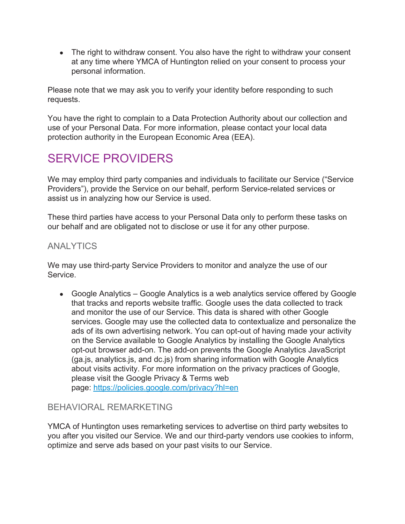• The right to withdraw consent. You also have the right to withdraw your consent at any time where YMCA of Huntington relied on your consent to process your personal information.

Please note that we may ask you to verify your identity before responding to such requests.

You have the right to complain to a Data Protection Authority about our collection and use of your Personal Data. For more information, please contact your local data protection authority in the European Economic Area (EEA).

# SERVICE PROVIDERS

We may employ third party companies and individuals to facilitate our Service ("Service Providers"), provide the Service on our behalf, perform Service-related services or assist us in analyzing how our Service is used.

These third parties have access to your Personal Data only to perform these tasks on our behalf and are obligated not to disclose or use it for any other purpose.

### **ANALYTICS**

We may use third-party Service Providers to monitor and analyze the use of our Service.

• Google Analytics – Google Analytics is a web analytics service offered by Google that tracks and reports website traffic. Google uses the data collected to track and monitor the use of our Service. This data is shared with other Google services. Google may use the collected data to contextualize and personalize the ads of its own advertising network. You can opt-out of having made your activity on the Service available to Google Analytics by installing the Google Analytics opt-out browser add-on. The add-on prevents the Google Analytics JavaScript (ga.js, analytics.js, and dc.js) from sharing information with Google Analytics about visits activity. For more information on the privacy practices of Google, please visit the Google Privacy & Terms web page:<https://policies.google.com/privacy?hl=en>

#### BEHAVIORAL REMARKETING

YMCA of Huntington uses remarketing services to advertise on third party websites to you after you visited our Service. We and our third-party vendors use cookies to inform, optimize and serve ads based on your past visits to our Service.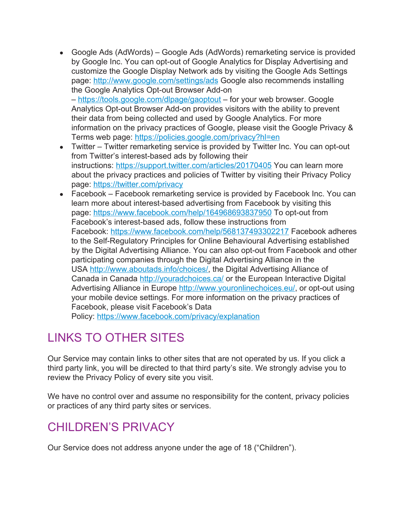- Google Ads (AdWords) Google Ads (AdWords) remarketing service is provided by Google Inc. You can opt-out of Google Analytics for Display Advertising and customize the Google Display Network ads by visiting the Google Ads Settings page:<http://www.google.com/settings/ads> Google also recommends installing the Google Analytics Opt-out Browser Add-on – <https://tools.google.com/dlpage/gaoptout> – for your web browser. Google Analytics Opt-out Browser Add-on provides visitors with the ability to prevent their data from being collected and used by Google Analytics. For more information on the privacy practices of Google, please visit the Google Privacy & Terms web page: <https://policies.google.com/privacy?hl=en>
- Twitter Twitter remarketing service is provided by Twitter Inc. You can opt-out from Twitter's interest-based ads by following their instructions: <https://support.twitter.com/articles/20170405>You can learn more about the privacy practices and policies of Twitter by visiting their Privacy Policy page:<https://twitter.com/privacy>
- Facebook Facebook remarketing service is provided by Facebook Inc. You can learn more about interest-based advertising from Facebook by visiting this page:<https://www.facebook.com/help/164968693837950>To opt-out from Facebook's interest-based ads, follow these instructions from Facebook:<https://www.facebook.com/help/568137493302217>Facebook adheres to the Self-Regulatory Principles for Online Behavioural Advertising established by the Digital Advertising Alliance. You can also opt-out from Facebook and other participating companies through the Digital Advertising Alliance in the USA [http://www.aboutads.info/choices/,](http://www.aboutads.info/choices/) the Digital Advertising Alliance of Canada in Canada <http://youradchoices.ca/> or the European Interactive Digital Advertising Alliance in Europe <http://www.youronlinechoices.eu/>, or opt-out using your mobile device settings. For more information on the privacy practices of Facebook, please visit Facebook's Data Policy: <https://www.facebook.com/privacy/explanation>

## LINKS TO OTHER SITES

Our Service may contain links to other sites that are not operated by us. If you click a third party link, you will be directed to that third party's site. We strongly advise you to review the Privacy Policy of every site you visit.

We have no control over and assume no responsibility for the content, privacy policies or practices of any third party sites or services.

### CHILDREN'S PRIVACY

Our Service does not address anyone under the age of 18 ("Children").